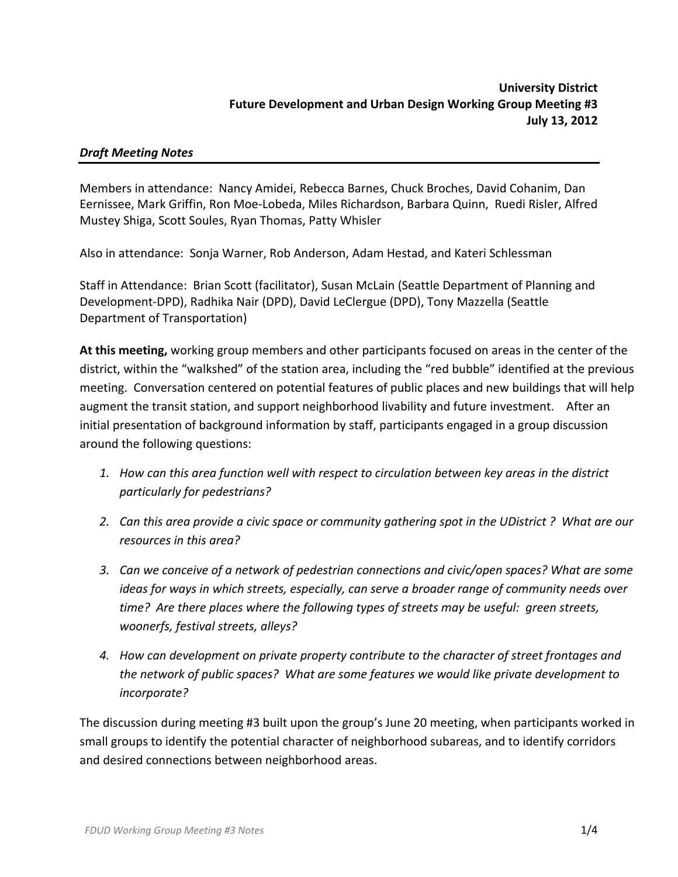# *Draft Meeting Notes*

Members in attendance: Nancy Amidei, Rebecca Barnes, Chuck Broches, David Cohanim, Dan Eernissee, Mark Griffin, Ron Moe‐Lobeda, Miles Richardson, Barbara Quinn, Ruedi Risler, Alfred Mustey Shiga, Scott Soules, Ryan Thomas, Patty Whisler

Also in attendance: Sonja Warner, Rob Anderson, Adam Hestad, and Kateri Schlessman

Staff in Attendance: Brian Scott (facilitator), Susan McLain (Seattle Department of Planning and Development‐DPD), Radhika Nair (DPD), David LeClergue (DPD), Tony Mazzella (Seattle Department of Transportation)

**At this meeting,** working group members and other participants focused on areas in the center of the district, within the "walkshed" of the station area, including the "red bubble" identified at the previous meeting. Conversation centered on potential features of public places and new buildings that will help augment the transit station, and support neighborhood livability and future investment. After an initial presentation of background information by staff, participants engaged in a group discussion around the following questions:

- *1. How can this area function well with respect to circulation between key areas in the district particularly for pedestrians?*
- 2. Can this area provide a civic space or community gathering spot in the UDistrict? What are our *resources in this area?*
- *3. Can we conceive of a network of pedestrian connections and civic/open spaces? What are some ideas for ways in which streets, especially, can serve a broader range of community needs over time? Are there places where the following types of streets may be useful: green streets, woonerfs, festival streets, alleys?*
- *4. How can development on private property contribute to the character of street frontages and the network of public spaces? What are some features we would like private development to incorporate?*

The discussion during meeting #3 built upon the group's June 20 meeting, when participants worked in small groups to identify the potential character of neighborhood subareas, and to identify corridors and desired connections between neighborhood areas.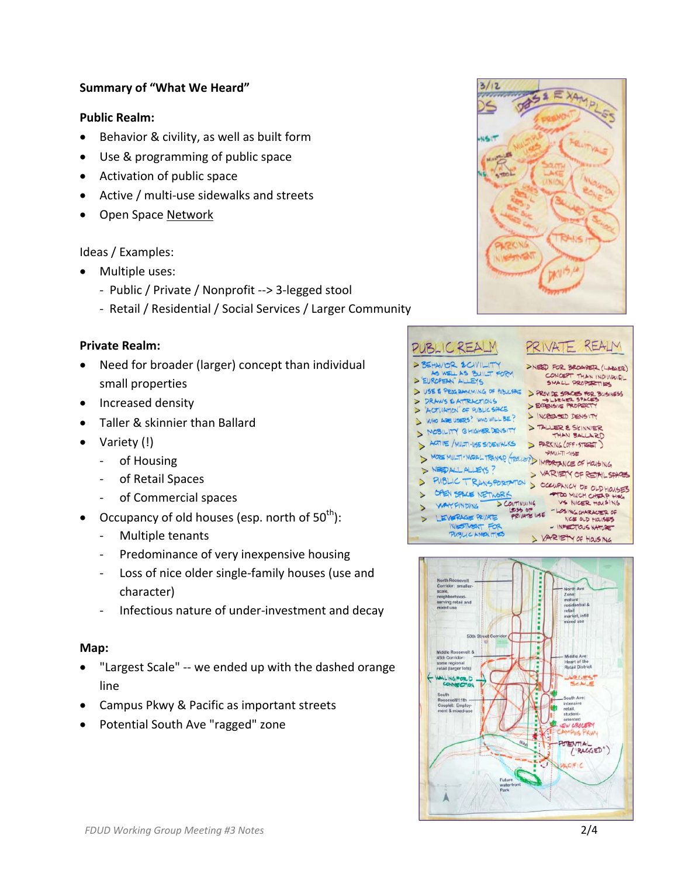## **Summary of "What We Heard"**

## **Public Realm:**

- Behavior & civility, as well as built form
- Use & programming of public space
- Activation of public space
- Active / multi-use sidewalks and streets
- Open Space Network

### Ideas / Examples:

- Multiple uses:
	- ‐ Public / Private / Nonprofit ‐‐> 3‐legged stool
	- ‐ Retail / Residential / Social Services / Larger Community

#### **Private Realm:**

- Need for broader (larger) concept than individual small properties
- Increased density
- Taller & skinnier than Ballard
- Variety (!)
	- ‐ of Housing
	- ‐ of Retail Spaces
	- ‐ of Commercial spaces
- Occupancy of old houses (esp. north of  $50^{th}$ ):
	- ‐ Multiple tenants
	- ‐ Predominance of very inexpensive housing
	- ‐ Loss of nice older single‐family houses (use and character)
	- ‐ Infectious nature of under‐investment and decay

#### **Map:**

- "Largest Scale" ‐‐ we ended up with the dashed orange line
- Campus Pkwy & Pacific as important streets
- Potential South Ave "ragged" zone





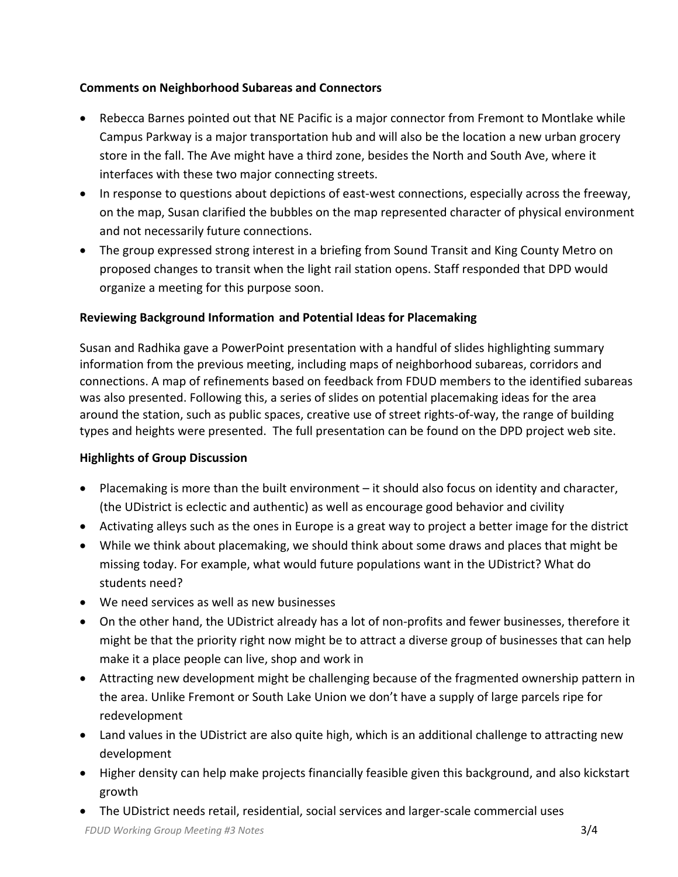# **Comments on Neighborhood Subareas and Connectors**

- Rebecca Barnes pointed out that NE Pacific is a major connector from Fremont to Montlake while Campus Parkway is a major transportation hub and will also be the location a new urban grocery store in the fall. The Ave might have a third zone, besides the North and South Ave, where it interfaces with these two major connecting streets.
- In response to questions about depictions of east-west connections, especially across the freeway, on the map, Susan clarified the bubbles on the map represented character of physical environment and not necessarily future connections.
- The group expressed strong interest in a briefing from Sound Transit and King County Metro on proposed changes to transit when the light rail station opens. Staff responded that DPD would organize a meeting for this purpose soon.

# **Reviewing Background Information and Potential Ideas for Placemaking**

Susan and Radhika gave a PowerPoint presentation with a handful of slides highlighting summary information from the previous meeting, including maps of neighborhood subareas, corridors and connections. A map of refinements based on feedback from FDUD members to the identified subareas was also presented. Following this, a series of slides on potential placemaking ideas for the area around the station, such as public spaces, creative use of street rights‐of‐way, the range of building types and heights were presented. The full presentation can be found on the DPD project web site.

# **Highlights of Group Discussion**

- Placemaking is more than the built environment it should also focus on identity and character, (the UDistrict is eclectic and authentic) as well as encourage good behavior and civility
- Activating alleys such as the ones in Europe is a great way to project a better image for the district
- While we think about placemaking, we should think about some draws and places that might be missing today. For example, what would future populations want in the UDistrict? What do students need?
- We need services as well as new businesses
- On the other hand, the UDistrict already has a lot of non-profits and fewer businesses, therefore it might be that the priority right now might be to attract a diverse group of businesses that can help make it a place people can live, shop and work in
- Attracting new development might be challenging because of the fragmented ownership pattern in the area. Unlike Fremont or South Lake Union we don't have a supply of large parcels ripe for redevelopment
- Land values in the UDistrict are also quite high, which is an additional challenge to attracting new development
- Higher density can help make projects financially feasible given this background, and also kickstart growth
- The UDistrict needs retail, residential, social services and larger‐scale commercial uses